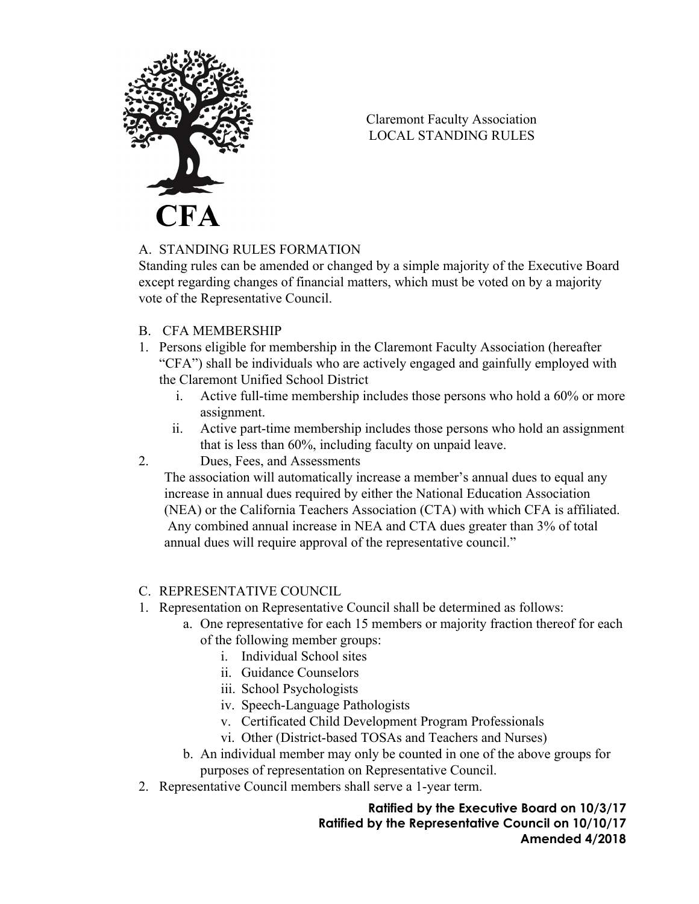

Claremont Faculty Association LOCAL STANDING RULES

## A. STANDING RULES FORMATION

Standing rules can be amended or changed by a simple majority of the Executive Board except regarding changes of financial matters, which must be voted on by a majority vote of the Representative Council.

- B. CFA MEMBERSHIP
- 1. Persons eligible for membership in the Claremont Faculty Association (hereafter "CFA") shall be individuals who are actively engaged and gainfully employed with the Claremont Unified School District
	- i. Active full-time membership includes those persons who hold a 60% or more assignment.
	- ii. Active part-time membership includes those persons who hold an assignment that is less than 60%, including faculty on unpaid leave.
- 2. Dues, Fees, and Assessments

The association will automatically increase a member's annual dues to equal any increase in annual dues required by either the National Education Association (NEA) or the California Teachers Association (CTA) with which CFA is affiliated. Any combined annual increase in NEA and CTA dues greater than 3% of total annual dues will require approval of the representative council."

- C. REPRESENTATIVE COUNCIL
- 1. Representation on Representative Council shall be determined as follows:
	- a. One representative for each 15 members or majority fraction thereof for each of the following member groups:
		- i. Individual School sites
		- ii. Guidance Counselors
		- iii. School Psychologists
		- iv. Speech-Language Pathologists
		- v. Certificated Child Development Program Professionals
		- vi. Other (District-based TOSAs and Teachers and Nurses)
	- b. An individual member may only be counted in one of the above groups for purposes of representation on Representative Council.
- 2. Representative Council members shall serve a 1-year term.

**Ratified by the Executive Board on 10/3/17 Ratified by the Representative Council on 10/10/17 Amended 4/2018**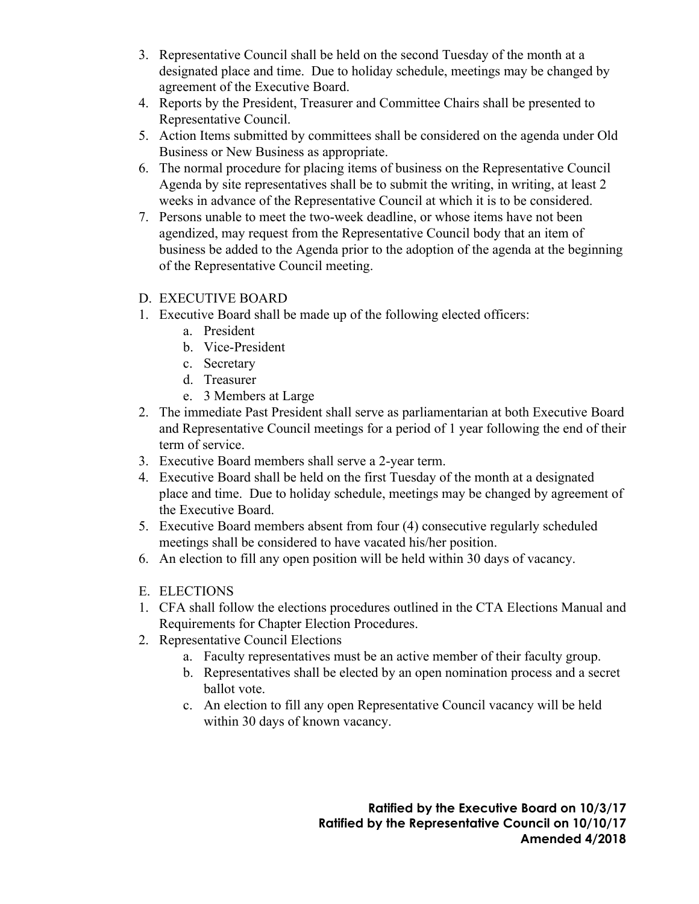- 3. Representative Council shall be held on the second Tuesday of the month at a designated place and time. Due to holiday schedule, meetings may be changed by agreement of the Executive Board.
- 4. Reports by the President, Treasurer and Committee Chairs shall be presented to Representative Council.
- 5. Action Items submitted by committees shall be considered on the agenda under Old Business or New Business as appropriate.
- 6. The normal procedure for placing items of business on the Representative Council Agenda by site representatives shall be to submit the writing, in writing, at least 2 weeks in advance of the Representative Council at which it is to be considered.
- 7. Persons unable to meet the two-week deadline, or whose items have not been agendized, may request from the Representative Council body that an item of business be added to the Agenda prior to the adoption of the agenda at the beginning of the Representative Council meeting.

# D. EXECUTIVE BOARD

- 1. Executive Board shall be made up of the following elected officers:
	- a. President
	- b. Vice-President
	- c. Secretary
	- d. Treasurer
	- e. 3 Members at Large
- 2. The immediate Past President shall serve as parliamentarian at both Executive Board and Representative Council meetings for a period of 1 year following the end of their term of service.
- 3. Executive Board members shall serve a 2-year term.
- 4. Executive Board shall be held on the first Tuesday of the month at a designated place and time. Due to holiday schedule, meetings may be changed by agreement of the Executive Board.
- 5. Executive Board members absent from four (4) consecutive regularly scheduled meetings shall be considered to have vacated his/her position.
- 6. An election to fill any open position will be held within 30 days of vacancy.
- E. ELECTIONS
- 1. CFA shall follow the elections procedures outlined in the CTA Elections Manual and Requirements for Chapter Election Procedures.
- 2. Representative Council Elections
	- a. Faculty representatives must be an active member of their faculty group.
	- b. Representatives shall be elected by an open nomination process and a secret ballot vote.
	- c. An election to fill any open Representative Council vacancy will be held within 30 days of known vacancy.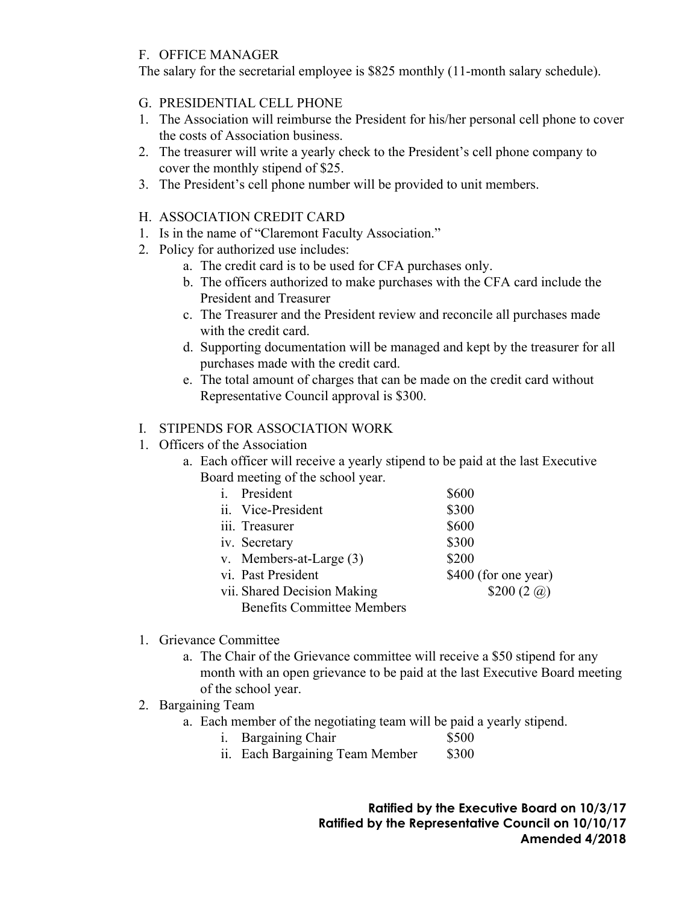### F. OFFICE MANAGER

The salary for the secretarial employee is \$825 monthly (11-month salary schedule).

### G. PRESIDENTIAL CELL PHONE

- 1. The Association will reimburse the President for his/her personal cell phone to cover the costs of Association business.
- 2. The treasurer will write a yearly check to the President's cell phone company to cover the monthly stipend of \$25.
- 3. The President's cell phone number will be provided to unit members.

### H. ASSOCIATION CREDIT CARD

- 1. Is in the name of "Claremont Faculty Association."
- 2. Policy for authorized use includes:
	- a. The credit card is to be used for CFA purchases only.
	- b. The officers authorized to make purchases with the CFA card include the President and Treasurer
	- c. The Treasurer and the President review and reconcile all purchases made with the credit card.
	- d. Supporting documentation will be managed and kept by the treasurer for all purchases made with the credit card.
	- e. The total amount of charges that can be made on the credit card without Representative Council approval is \$300.

### I. STIPENDS FOR ASSOCIATION WORK

- 1. Officers of the Association
	- a. Each officer will receive a yearly stipend to be paid at the last Executive Board meeting of the school year.

| President<br>i.                   | \$600                    |  |
|-----------------------------------|--------------------------|--|
| ii. Vice-President                | \$300                    |  |
| iii. Treasurer                    | \$600                    |  |
| iv. Secretary                     | \$300                    |  |
| v. Members-at-Large (3)           | \$200                    |  |
| vi. Past President                | \$400 (for one year)     |  |
| vii. Shared Decision Making       | \$200 $(2 \hat{\omega})$ |  |
| <b>Benefits Committee Members</b> |                          |  |

- 1. Grievance Committee
	- a. The Chair of the Grievance committee will receive a \$50 stipend for any month with an open grievance to be paid at the last Executive Board meeting of the school year.
- 2. Bargaining Team
	- a. Each member of the negotiating team will be paid a yearly stipend.
		- i. Bargaining Chair \$500
		- ii. Each Bargaining Team Member \$300

**Ratified by the Executive Board on 10/3/17 Ratified by the Representative Council on 10/10/17 Amended 4/2018**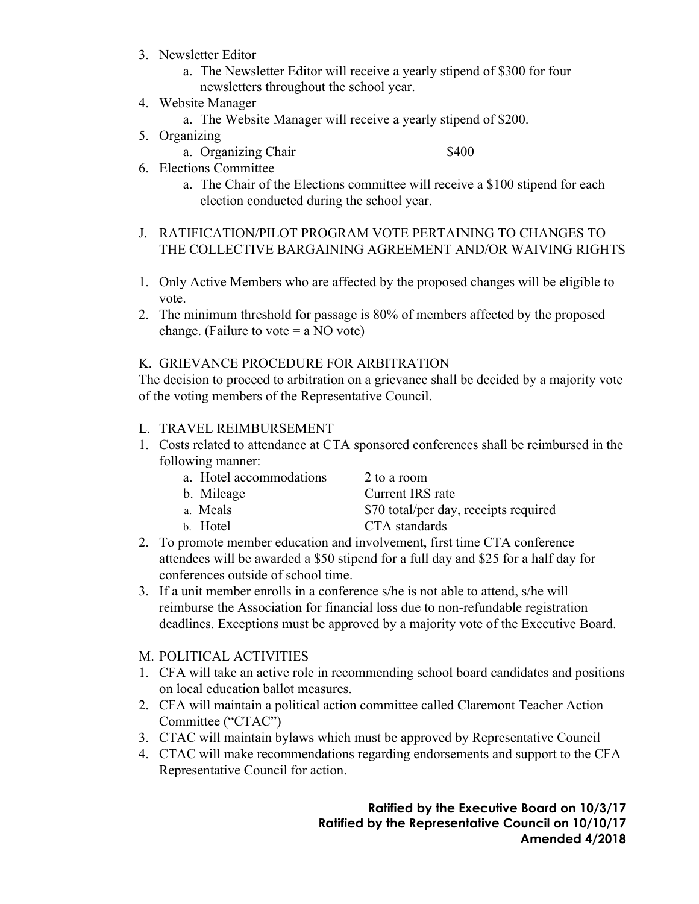- 3. Newsletter Editor
	- a. The Newsletter Editor will receive a yearly stipend of \$300 for four newsletters throughout the school year.
- 4. Website Manager
	- a. The Website Manager will receive a yearly stipend of \$200.
- 5. Organizing

a. Organizing Chair  $\frac{1}{400}$ 

- 6. Elections Committee
	- a. The Chair of the Elections committee will receive a \$100 stipend for each election conducted during the school year.
- J. RATIFICATION/PILOT PROGRAM VOTE PERTAINING TO CHANGES TO THE COLLECTIVE BARGAINING AGREEMENT AND/OR WAIVING RIGHTS
- 1. Only Active Members who are affected by the proposed changes will be eligible to vote.
- 2. The minimum threshold for passage is 80% of members affected by the proposed change. (Failure to vote  $=$  a NO vote)

### K. GRIEVANCE PROCEDURE FOR ARBITRATION

The decision to proceed to arbitration on a grievance shall be decided by a majority vote of the voting members of the Representative Council.

### L. TRAVEL REIMBURSEMENT

1. Costs related to attendance at CTA sponsored conferences shall be reimbursed in the following manner:

|  |  | a. Hotel accommodations |
|--|--|-------------------------|
|--|--|-------------------------|

- 2 to a room
- 

b. Mileage Current IRS rate

- a. Meals  $$70$  total/per day, receipts required
- b. Hotel CTA standards
- 2. To promote member education and involvement, first time CTA conference attendees will be awarded a \$50 stipend for a full day and \$25 for a half day for conferences outside of school time.
- 3. If a unit member enrolls in a conference s/he is not able to attend, s/he will reimburse the Association for financial loss due to non-refundable registration deadlines. Exceptions must be approved by a majority vote of the Executive Board.
- M. POLITICAL ACTIVITIES
- 1. CFA will take an active role in recommending school board candidates and positions on local education ballot measures.
- 2. CFA will maintain a political action committee called Claremont Teacher Action Committee ("CTAC")
- 3. CTAC will maintain bylaws which must be approved by Representative Council
- 4. CTAC will make recommendations regarding endorsements and support to the CFA Representative Council for action.

**Ratified by the Executive Board on 10/3/17 Ratified by the Representative Council on 10/10/17 Amended 4/2018**